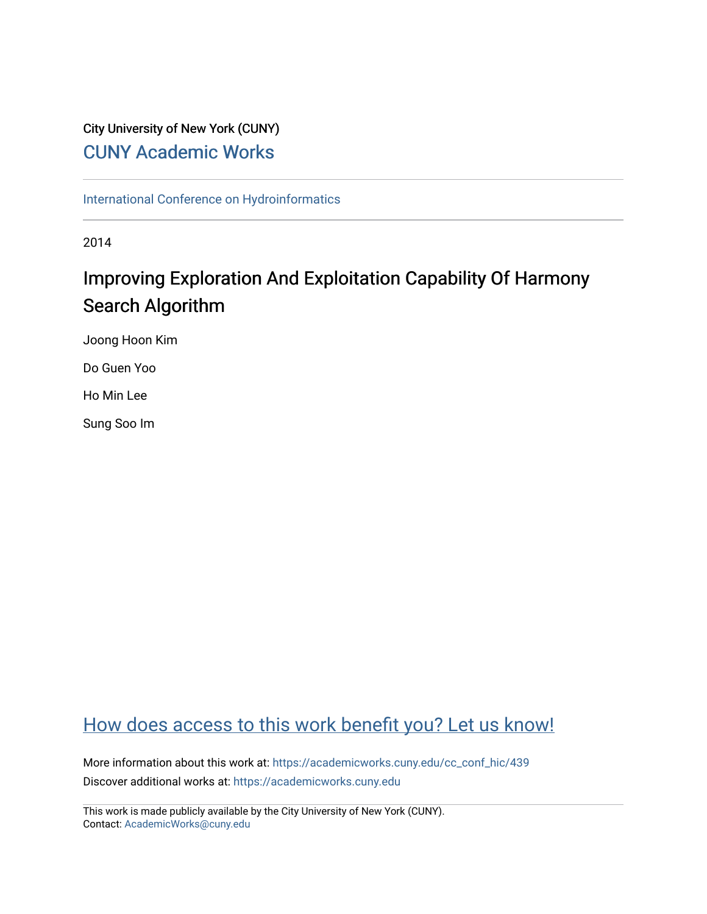### City University of New York (CUNY) [CUNY Academic Works](https://academicworks.cuny.edu/)

[International Conference on Hydroinformatics](https://academicworks.cuny.edu/cc_conf_hic)

2014

# Improving Exploration And Exploitation Capability Of Harmony Search Algorithm

Joong Hoon Kim

Do Guen Yoo

Ho Min Lee

Sung Soo Im

## [How does access to this work benefit you? Let us know!](http://ols.cuny.edu/academicworks/?ref=https://academicworks.cuny.edu/cc_conf_hic/439)

More information about this work at: [https://academicworks.cuny.edu/cc\\_conf\\_hic/439](https://academicworks.cuny.edu/cc_conf_hic/439)  Discover additional works at: [https://academicworks.cuny.edu](https://academicworks.cuny.edu/?)

This work is made publicly available by the City University of New York (CUNY). Contact: [AcademicWorks@cuny.edu](mailto:AcademicWorks@cuny.edu)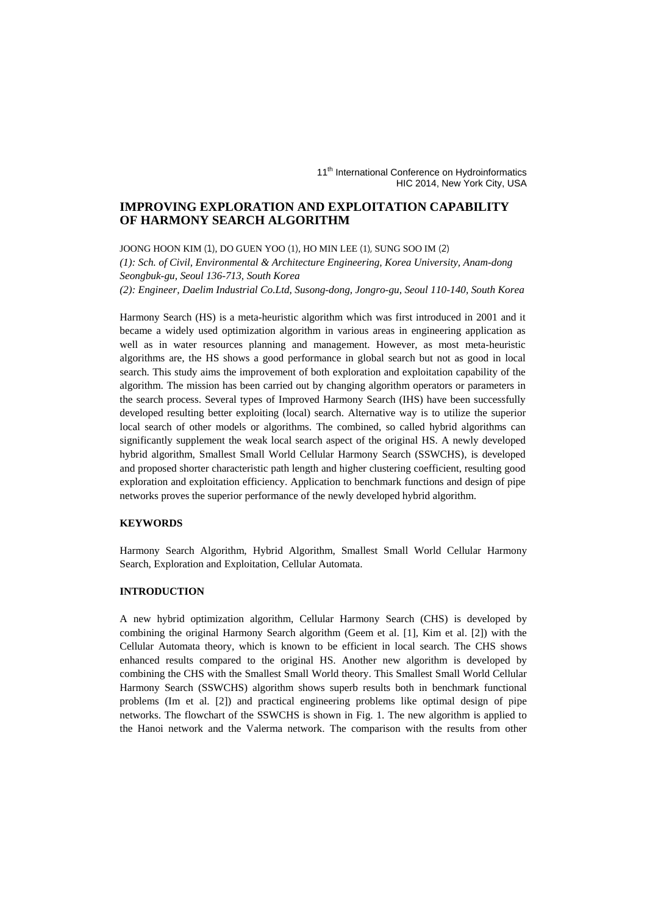11<sup>th</sup> International Conference on Hydroinformatics HIC 2014, New York City, USA

#### **IMPROVING EXPLORATION AND EXPLOITATION CAPABILITY OF HARMONY SEARCH ALGORITHM**

JOONG HOON KIM (1), DO GUEN YOO (1), HO MIN LEE (1), SUNG SOO IM (2) *(1): Sch. of Civil, Environmental & Architecture Engineering, Korea University, Anam-dong Seongbuk-gu, Seoul 136-713, South Korea (2): Engineer, Daelim Industrial Co.Ltd, Susong-dong, Jongro-gu, Seoul 110-140, South Korea* 

Harmony Search (HS) is a meta-heuristic algorithm which was first introduced in 2001 and it became a widely used optimization algorithm in various areas in engineering application as well as in water resources planning and management. However, as most meta-heuristic algorithms are, the HS shows a good performance in global search but not as good in local search. This study aims the improvement of both exploration and exploitation capability of the algorithm. The mission has been carried out by changing algorithm operators or parameters in the search process. Several types of Improved Harmony Search (IHS) have been successfully developed resulting better exploiting (local) search. Alternative way is to utilize the superior local search of other models or algorithms. The combined, so called hybrid algorithms can significantly supplement the weak local search aspect of the original HS. A newly developed hybrid algorithm, Smallest Small World Cellular Harmony Search (SSWCHS), is developed and proposed shorter characteristic path length and higher clustering coefficient, resulting good exploration and exploitation efficiency. Application to benchmark functions and design of pipe networks proves the superior performance of the newly developed hybrid algorithm.

#### **KEYWORDS**

Harmony Search Algorithm, Hybrid Algorithm, Smallest Small World Cellular Harmony Search, Exploration and Exploitation, Cellular Automata.

#### **INTRODUCTION**

A new hybrid optimization algorithm, Cellular Harmony Search (CHS) is developed by combining the original Harmony Search algorithm (Geem et al. [1], Kim et al. [2]) with the Cellular Automata theory, which is known to be efficient in local search. The CHS shows enhanced results compared to the original HS. Another new algorithm is developed by combining the CHS with the Smallest Small World theory. This Smallest Small World Cellular Harmony Search (SSWCHS) algorithm shows superb results both in benchmark functional problems (Im et al. [2]) and practical engineering problems like optimal design of pipe networks. The flowchart of the SSWCHS is shown in Fig. 1. The new algorithm is applied to the Hanoi network and the Valerma network. The comparison with the results from other